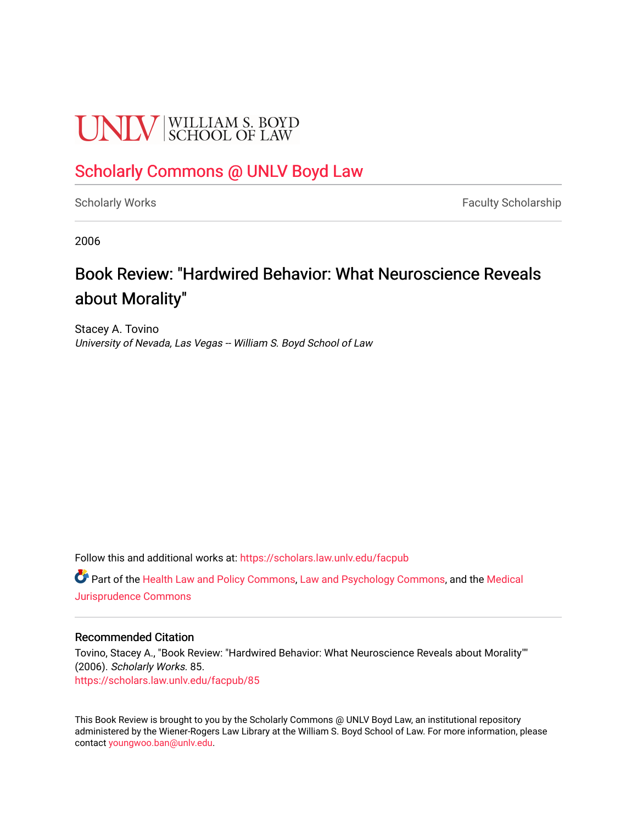# **UNIV** SCHOOL OF LAW

### [Scholarly Commons @ UNLV Boyd Law](https://scholars.law.unlv.edu/)

[Scholarly Works](https://scholars.law.unlv.edu/facpub) **Faculty Scholarship** Faculty Scholarship

2006

## Book Review: "Hardwired Behavior: What Neuroscience Reveals about Morality"

Stacey A. Tovino University of Nevada, Las Vegas -- William S. Boyd School of Law

Follow this and additional works at: [https://scholars.law.unlv.edu/facpub](https://scholars.law.unlv.edu/facpub?utm_source=scholars.law.unlv.edu%2Ffacpub%2F85&utm_medium=PDF&utm_campaign=PDFCoverPages)

Part of the [Health Law and Policy Commons](http://network.bepress.com/hgg/discipline/901?utm_source=scholars.law.unlv.edu%2Ffacpub%2F85&utm_medium=PDF&utm_campaign=PDFCoverPages), [Law and Psychology Commons,](http://network.bepress.com/hgg/discipline/870?utm_source=scholars.law.unlv.edu%2Ffacpub%2F85&utm_medium=PDF&utm_campaign=PDFCoverPages) and the [Medical](http://network.bepress.com/hgg/discipline/860?utm_source=scholars.law.unlv.edu%2Ffacpub%2F85&utm_medium=PDF&utm_campaign=PDFCoverPages) [Jurisprudence Commons](http://network.bepress.com/hgg/discipline/860?utm_source=scholars.law.unlv.edu%2Ffacpub%2F85&utm_medium=PDF&utm_campaign=PDFCoverPages) 

#### Recommended Citation

Tovino, Stacey A., "Book Review: "Hardwired Behavior: What Neuroscience Reveals about Morality"" (2006). Scholarly Works. 85. [https://scholars.law.unlv.edu/facpub/85](https://scholars.law.unlv.edu/facpub/85?utm_source=scholars.law.unlv.edu%2Ffacpub%2F85&utm_medium=PDF&utm_campaign=PDFCoverPages) 

This Book Review is brought to you by the Scholarly Commons @ UNLV Boyd Law, an institutional repository administered by the Wiener-Rogers Law Library at the William S. Boyd School of Law. For more information, please contact [youngwoo.ban@unlv.edu](mailto:youngwoo.ban@unlv.edu).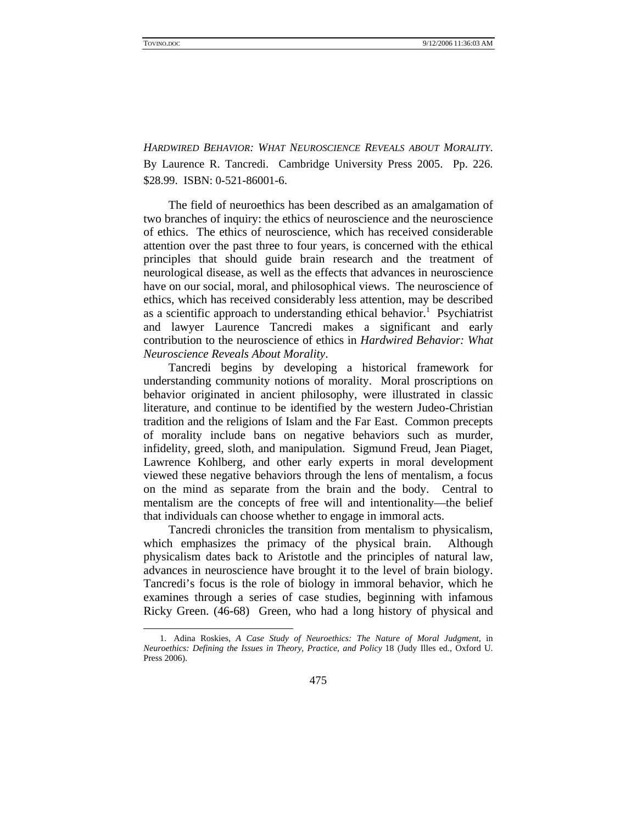$\overline{a}$ 

*HARDWIRED BEHAVIOR: WHAT NEUROSCIENCE REVEALS ABOUT MORALITY*. By Laurence R. Tancredi. Cambridge University Press 2005. Pp. 226. \$28.99. ISBN: 0-521-86001-6.

The field of neuroethics has been described as an amalgamation of two branches of inquiry: the ethics of neuroscience and the neuroscience of ethics. The ethics of neuroscience, which has received considerable attention over the past three to four years, is concerned with the ethical principles that should guide brain research and the treatment of neurological disease, as well as the effects that advances in neuroscience have on our social, moral, and philosophical views. The neuroscience of ethics, which has received considerably less attention, may be described as a scientific approach to understanding ethical behavior.<sup>1</sup> Psychiatrist and lawyer Laurence Tancredi makes a significant and early contribution to the neuroscience of ethics in *Hardwired Behavior: What Neuroscience Reveals About Morality*.

Tancredi begins by developing a historical framework for understanding community notions of morality. Moral proscriptions on behavior originated in ancient philosophy, were illustrated in classic literature, and continue to be identified by the western Judeo-Christian tradition and the religions of Islam and the Far East. Common precepts of morality include bans on negative behaviors such as murder, infidelity, greed, sloth, and manipulation. Sigmund Freud, Jean Piaget, Lawrence Kohlberg, and other early experts in moral development viewed these negative behaviors through the lens of mentalism, a focus on the mind as separate from the brain and the body. Central to mentalism are the concepts of free will and intentionality—the belief that individuals can choose whether to engage in immoral acts.

Tancredi chronicles the transition from mentalism to physicalism, which emphasizes the primacy of the physical brain. Although physicalism dates back to Aristotle and the principles of natural law, advances in neuroscience have brought it to the level of brain biology. Tancredi's focus is the role of biology in immoral behavior, which he examines through a series of case studies, beginning with infamous Ricky Green. (46-68) Green, who had a long history of physical and

 <sup>1.</sup> Adina Roskies, *A Case Study of Neuroethics: The Nature of Moral Judgment*, in *Neuroethics: Defining the Issues in Theory, Practice, and Policy* 18 (Judy Illes ed., Oxford U. Press 2006).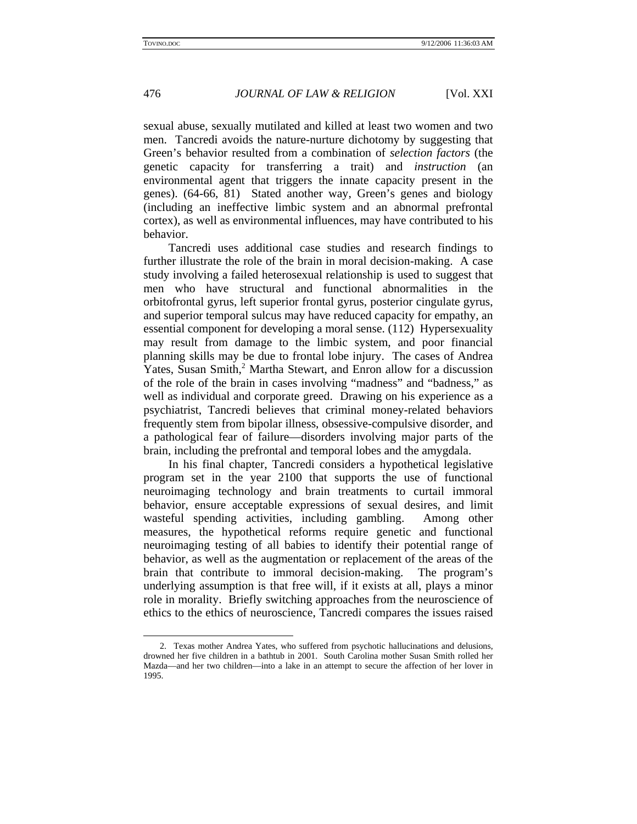$\overline{a}$ 

#### 476 *JOURNAL OF LAW & RELIGION* [Vol. XXI

sexual abuse, sexually mutilated and killed at least two women and two men. Tancredi avoids the nature-nurture dichotomy by suggesting that Green's behavior resulted from a combination of *selection factors* (the genetic capacity for transferring a trait) and *instruction* (an environmental agent that triggers the innate capacity present in the genes). (64-66, 81) Stated another way, Green's genes and biology (including an ineffective limbic system and an abnormal prefrontal cortex), as well as environmental influences, may have contributed to his behavior.

Tancredi uses additional case studies and research findings to further illustrate the role of the brain in moral decision-making. A case study involving a failed heterosexual relationship is used to suggest that men who have structural and functional abnormalities in the orbitofrontal gyrus, left superior frontal gyrus, posterior cingulate gyrus, and superior temporal sulcus may have reduced capacity for empathy, an essential component for developing a moral sense. (112) Hypersexuality may result from damage to the limbic system, and poor financial planning skills may be due to frontal lobe injury. The cases of Andrea Yates, Susan Smith,<sup>2</sup> Martha Stewart, and Enron allow for a discussion of the role of the brain in cases involving "madness" and "badness," as well as individual and corporate greed. Drawing on his experience as a psychiatrist, Tancredi believes that criminal money-related behaviors frequently stem from bipolar illness, obsessive-compulsive disorder, and a pathological fear of failure—disorders involving major parts of the brain, including the prefrontal and temporal lobes and the amygdala.

In his final chapter, Tancredi considers a hypothetical legislative program set in the year 2100 that supports the use of functional neuroimaging technology and brain treatments to curtail immoral behavior, ensure acceptable expressions of sexual desires, and limit wasteful spending activities, including gambling. Among other measures, the hypothetical reforms require genetic and functional neuroimaging testing of all babies to identify their potential range of behavior, as well as the augmentation or replacement of the areas of the brain that contribute to immoral decision-making. The program's underlying assumption is that free will, if it exists at all, plays a minor role in morality. Briefly switching approaches from the neuroscience of ethics to the ethics of neuroscience, Tancredi compares the issues raised

 <sup>2.</sup> Texas mother Andrea Yates, who suffered from psychotic hallucinations and delusions, drowned her five children in a bathtub in 2001. South Carolina mother Susan Smith rolled her Mazda—and her two children—into a lake in an attempt to secure the affection of her lover in 1995.